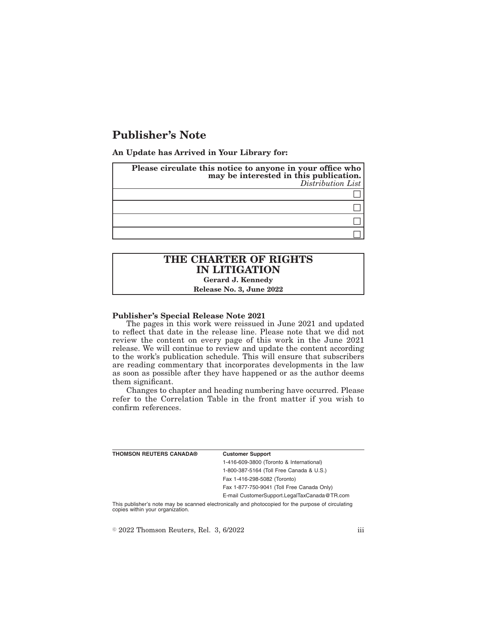## **Publisher's Note**

**An Update has Arrived in Your Library for:**

| Please circulate this notice to anyone in your office who<br>may be interested in this publication.<br>Distribution List |
|--------------------------------------------------------------------------------------------------------------------------|
|                                                                                                                          |
|                                                                                                                          |
|                                                                                                                          |
|                                                                                                                          |

## **THE CHARTER OF RIGHTS IN LITIGATION Gerard J. Kennedy**

**Release No. 3, June 2022**

## **Publisher's Special Release Note 2021**

The pages in this work were reissued in June 2021 and updated to reflect that date in the release line. Please note that we did not review the content on every page of this work in the June 2021 release. We will continue to review and update the content according to the work's publication schedule. This will ensure that subscribers are reading commentary that incorporates developments in the law as soon as possible after they have happened or as the author deems them significant.

Changes to chapter and heading numbering have occurred. Please refer to the Correlation Table in the front matter if you wish to confirm references.

| <b>THOMSON REUTERS CANADA®</b> | <b>Customer Support</b>                      |
|--------------------------------|----------------------------------------------|
|                                | 1-416-609-3800 (Toronto & International)     |
|                                | 1-800-387-5164 (Toll Free Canada & U.S.)     |
|                                | Fax 1-416-298-5082 (Toronto)                 |
|                                | Fax 1-877-750-9041 (Toll Free Canada Only)   |
|                                | E-mail CustomerSupport.LegalTaxCanada@TR.com |
|                                |                                              |

This publisher's note may be scanned electronically and photocopied for the purpose of circulating copies within your organization.

 $\textdegree$  2022 Thomson Reuters, Rel. 3, 6/2022 iii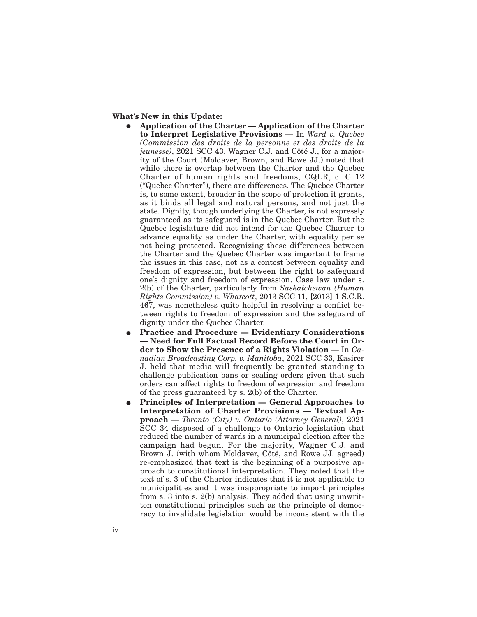**What's New in this Update:**

- E **Application of the Charter Application of the Charter to Interpret Legislative Provisions —** In *Ward v. Quebec (Commission des droits de la personne et des droits de la jeunesse)*, 2021 SCC 43, Wagner C.J. and Côté J., for a majority of the Court (Moldaver, Brown, and Rowe JJ.) noted that while there is overlap between the Charter and the Quebec Charter of human rights and freedoms, CQLR, c. C 12 ("Quebec Charter"), there are differences. The Quebec Charter is, to some extent, broader in the scope of protection it grants, as it binds all legal and natural persons, and not just the state. Dignity, though underlying the Charter, is not expressly guaranteed as its safeguard is in the Quebec Charter. But the Quebec legislature did not intend for the Quebec Charter to advance equality as under the Charter, with equality per se not being protected. Recognizing these differences between the Charter and the Quebec Charter was important to frame the issues in this case, not as a contest between equality and freedom of expression, but between the right to safeguard one's dignity and freedom of expression. Case law under s. 2(b) of the Charter, particularly from *Saskatchewan (Human Rights Commission) v. Whatcott*, 2013 SCC 11, [2013] 1 S.C.R. 467, was nonetheless quite helpful in resolving a conflict between rights to freedom of expression and the safeguard of dignity under the Quebec Charter.
- E **Practice and Procedure Evidentiary Considerations — Need for Full Factual Record Before the Court in Order to Show the Presence of a Rights Violation —** In *Canadian Broadcasting Corp. v. Manitoba*, 2021 SCC 33, Kasirer J. held that media will frequently be granted standing to challenge publication bans or sealing orders given that such orders can affect rights to freedom of expression and freedom of the press guaranteed by s. 2(b) of the Charter.
- E **Principles of Interpretation General Approaches to Interpretation of Charter Provisions — Textual Approach —** *Toronto (City) v. Ontario (Attorney General)*, 2021 SCC 34 disposed of a challenge to Ontario legislation that reduced the number of wards in a municipal election after the campaign had begun. For the majority, Wagner C.J. and Brown J. (with whom Moldaver, Côté, and Rowe JJ. agreed) re-emphasized that text is the beginning of a purposive approach to constitutional interpretation. They noted that the text of s. 3 of the Charter indicates that it is not applicable to municipalities and it was inappropriate to import principles from s. 3 into s. 2(b) analysis. They added that using unwritten constitutional principles such as the principle of democracy to invalidate legislation would be inconsistent with the